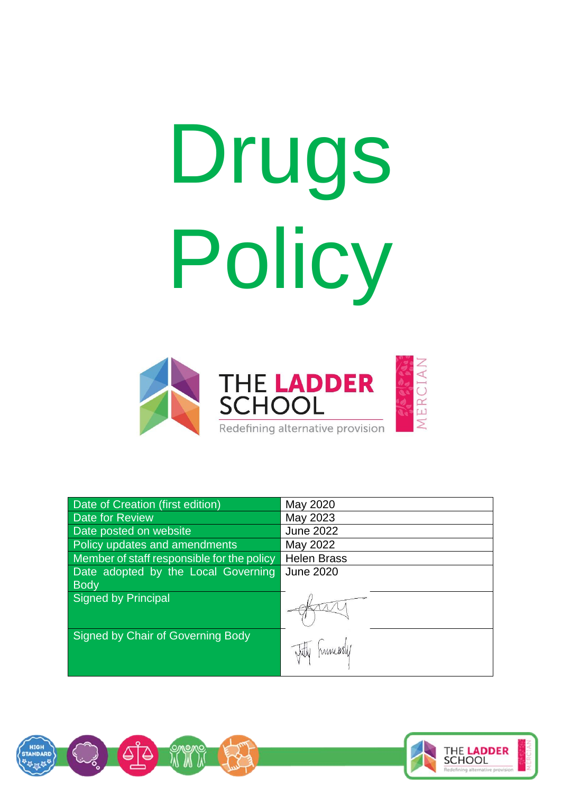# Drugs Policy



| <b>Date of Creation (first edition)</b>    | May 2020           |
|--------------------------------------------|--------------------|
| Date for Review                            | May 2023           |
| Date posted on website                     | <b>June 2022</b>   |
| Policy updates and amendments              | May 2022           |
| Member of staff responsible for the policy | <b>Helen Brass</b> |
| Date adopted by the Local Governing        | <b>June 2020</b>   |
| <b>Body</b>                                |                    |
| Signed by Principal                        |                    |
| Signed by Chair of Governing Body          | Tritty humarsly    |



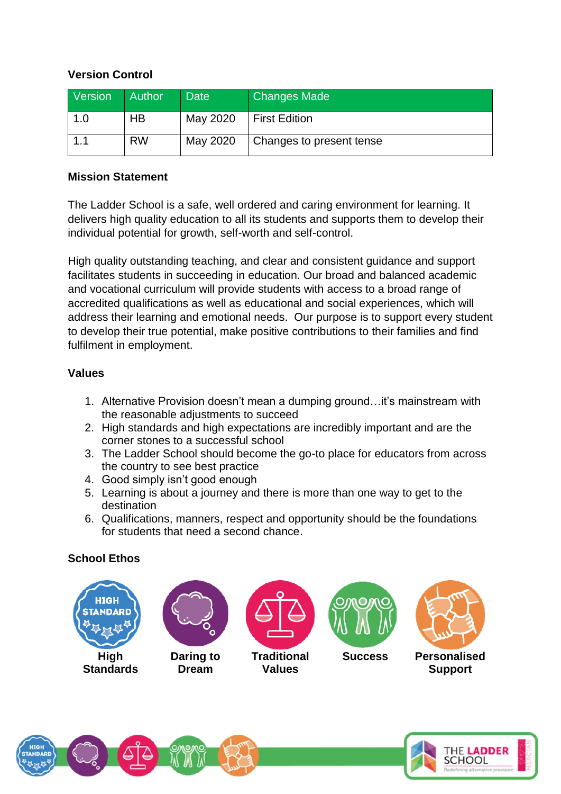# **Version Control**

| Version | Author    | <b>Date</b> | <b>Changes Made</b>      |
|---------|-----------|-------------|--------------------------|
| 1.0     | НB        | May 2020    | <b>First Edition</b>     |
|         | <b>RW</b> | May 2020    | Changes to present tense |

#### **Mission Statement**

The Ladder School is a safe, well ordered and caring environment for learning. It delivers high quality education to all its students and supports them to develop their individual potential for growth, self-worth and self-control.

High quality outstanding teaching, and clear and consistent guidance and support facilitates students in succeeding in education. Our broad and balanced academic and vocational curriculum will provide students with access to a broad range of accredited qualifications as well as educational and social experiences, which will address their learning and emotional needs. Our purpose is to support every student to develop their true potential, make positive contributions to their families and find fulfilment in employment.

## **Values**

- 1. Alternative Provision doesn't mean a dumping ground…it's mainstream with the reasonable adjustments to succeed
- 2. High standards and high expectations are incredibly important and are the corner stones to a successful school
- 3. The Ladder School should become the go-to place for educators from across the country to see best practice
- 4. Good simply isn't good enough
- 5. Learning is about a journey and there is more than one way to get to the destination
- 6. Qualifications, manners, respect and opportunity should be the foundations for students that need a second chance.

# **School Ethos**



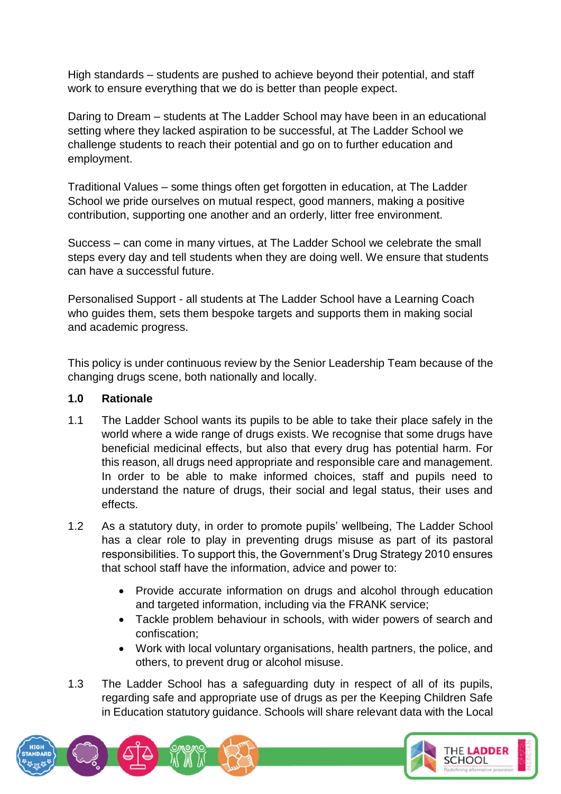High standards – students are pushed to achieve beyond their potential, and staff work to ensure everything that we do is better than people expect.

Daring to Dream – students at The Ladder School may have been in an educational setting where they lacked aspiration to be successful, at The Ladder School we challenge students to reach their potential and go on to further education and employment.

Traditional Values – some things often get forgotten in education, at The Ladder School we pride ourselves on mutual respect, good manners, making a positive contribution, supporting one another and an orderly, litter free environment.

Success – can come in many virtues, at The Ladder School we celebrate the small steps every day and tell students when they are doing well. We ensure that students can have a successful future.

Personalised Support - all students at The Ladder School have a Learning Coach who guides them, sets them bespoke targets and supports them in making social and academic progress.

This policy is under continuous review by the Senior Leadership Team because of the changing drugs scene, both nationally and locally.

## **1.0 Rationale**

- 1.1 The Ladder School wants its pupils to be able to take their place safely in the world where a wide range of drugs exists. We recognise that some drugs have beneficial medicinal effects, but also that every drug has potential harm. For this reason, all drugs need appropriate and responsible care and management. In order to be able to make informed choices, staff and pupils need to understand the nature of drugs, their social and legal status, their uses and effects.
- 1.2 As a statutory duty, in order to promote pupils' wellbeing, The Ladder School has a clear role to play in preventing drugs misuse as part of its pastoral responsibilities. To support this, the Government's Drug Strategy 2010 ensures that school staff have the information, advice and power to:
	- Provide accurate information on drugs and alcohol through education and targeted information, including via the FRANK service;
	- Tackle problem behaviour in schools, with wider powers of search and confiscation;
	- Work with local voluntary organisations, health partners, the police, and others, to prevent drug or alcohol misuse.
- 1.3 The Ladder School has a safeguarding duty in respect of all of its pupils, regarding safe and appropriate use of drugs as per the Keeping Children Safe in Education statutory guidance. Schools will share relevant data with the Local

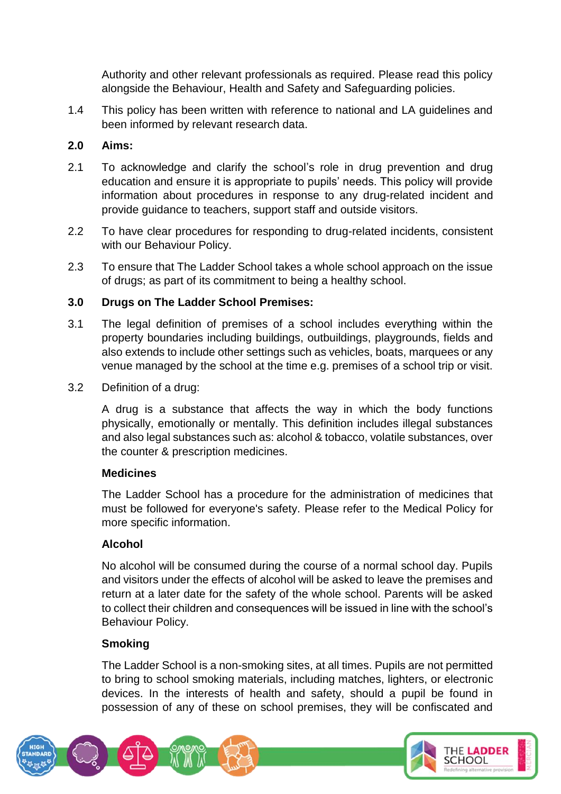Authority and other relevant professionals as required. Please read this policy alongside the Behaviour, Health and Safety and Safeguarding policies.

1.4 This policy has been written with reference to national and LA guidelines and been informed by relevant research data.

# **2.0 Aims:**

- 2.1 To acknowledge and clarify the school's role in drug prevention and drug education and ensure it is appropriate to pupils' needs. This policy will provide information about procedures in response to any drug-related incident and provide guidance to teachers, support staff and outside visitors.
- 2.2 To have clear procedures for responding to drug-related incidents, consistent with our Behaviour Policy.
- 2.3 To ensure that The Ladder School takes a whole school approach on the issue of drugs; as part of its commitment to being a healthy school.

# **3.0 Drugs on The Ladder School Premises:**

- 3.1 The legal definition of premises of a school includes everything within the property boundaries including buildings, outbuildings, playgrounds, fields and also extends to include other settings such as vehicles, boats, marquees or any venue managed by the school at the time e.g. premises of a school trip or visit.
- 3.2 Definition of a drug:

A drug is a substance that affects the way in which the body functions physically, emotionally or mentally. This definition includes illegal substances and also legal substances such as: alcohol & tobacco, volatile substances, over the counter & prescription medicines.

## **Medicines**

The Ladder School has a procedure for the administration of medicines that must be followed for everyone's safety. Please refer to the Medical Policy for more specific information.

# **Alcohol**

No alcohol will be consumed during the course of a normal school day. Pupils and visitors under the effects of alcohol will be asked to leave the premises and return at a later date for the safety of the whole school. Parents will be asked to collect their children and consequences will be issued in line with the school's Behaviour Policy.

# **Smoking**

The Ladder School is a non-smoking sites, at all times. Pupils are not permitted to bring to school smoking materials, including matches, lighters, or electronic devices. In the interests of health and safety, should a pupil be found in possession of any of these on school premises, they will be confiscated and

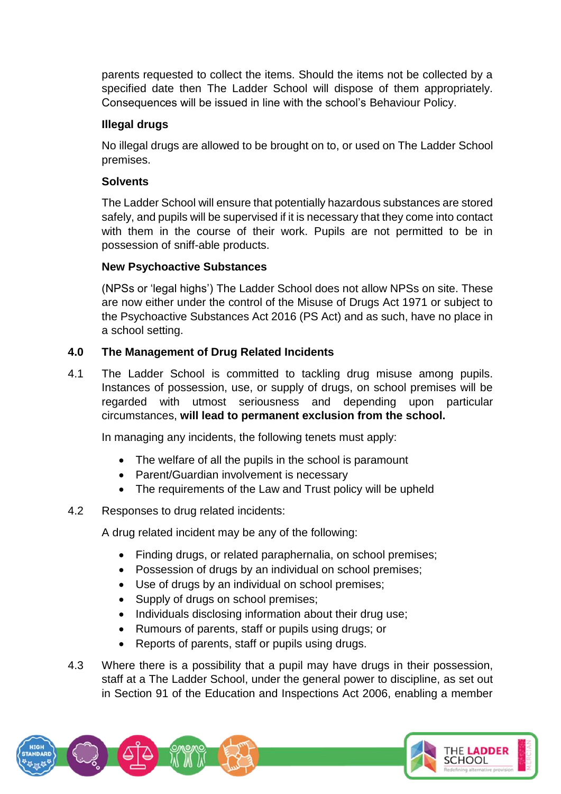parents requested to collect the items. Should the items not be collected by a specified date then The Ladder School will dispose of them appropriately. Consequences will be issued in line with the school's Behaviour Policy.

# **Illegal drugs**

No illegal drugs are allowed to be brought on to, or used on The Ladder School premises.

# **Solvents**

The Ladder School will ensure that potentially hazardous substances are stored safely, and pupils will be supervised if it is necessary that they come into contact with them in the course of their work. Pupils are not permitted to be in possession of sniff-able products.

# **New Psychoactive Substances**

(NPSs or 'legal highs') The Ladder School does not allow NPSs on site. These are now either under the control of the Misuse of Drugs Act 1971 or subject to the Psychoactive Substances Act 2016 (PS Act) and as such, have no place in a school setting.

# **4.0 The Management of Drug Related Incidents**

4.1 The Ladder School is committed to tackling drug misuse among pupils. Instances of possession, use, or supply of drugs, on school premises will be regarded with utmost seriousness and depending upon particular circumstances, **will lead to permanent exclusion from the school.** 

In managing any incidents, the following tenets must apply:

- The welfare of all the pupils in the school is paramount
- Parent/Guardian involvement is necessary
- The requirements of the Law and Trust policy will be upheld

## 4.2 Responses to drug related incidents:

A drug related incident may be any of the following:

- Finding drugs, or related paraphernalia, on school premises:
- Possession of drugs by an individual on school premises;
- Use of drugs by an individual on school premises;
- Supply of drugs on school premises;
- Individuals disclosing information about their drug use;
- Rumours of parents, staff or pupils using drugs; or
- Reports of parents, staff or pupils using drugs.
- 4.3 Where there is a possibility that a pupil may have drugs in their possession, staff at a The Ladder School, under the general power to discipline, as set out in Section 91 of the Education and Inspections Act 2006, enabling a member

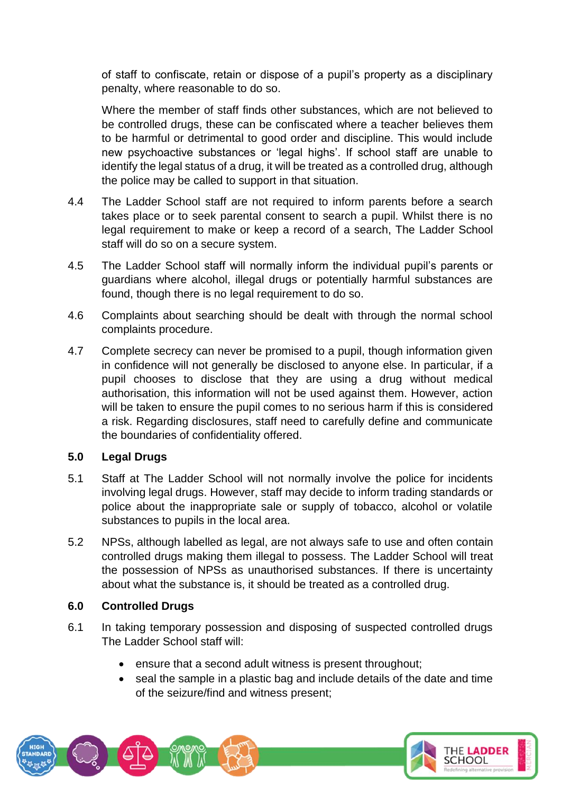of staff to confiscate, retain or dispose of a pupil's property as a disciplinary penalty, where reasonable to do so.

Where the member of staff finds other substances, which are not believed to be controlled drugs, these can be confiscated where a teacher believes them to be harmful or detrimental to good order and discipline. This would include new psychoactive substances or 'legal highs'. If school staff are unable to identify the legal status of a drug, it will be treated as a controlled drug, although the police may be called to support in that situation.

- 4.4 The Ladder School staff are not required to inform parents before a search takes place or to seek parental consent to search a pupil. Whilst there is no legal requirement to make or keep a record of a search, The Ladder School staff will do so on a secure system.
- 4.5 The Ladder School staff will normally inform the individual pupil's parents or guardians where alcohol, illegal drugs or potentially harmful substances are found, though there is no legal requirement to do so.
- 4.6 Complaints about searching should be dealt with through the normal school complaints procedure.
- 4.7 Complete secrecy can never be promised to a pupil, though information given in confidence will not generally be disclosed to anyone else. In particular, if a pupil chooses to disclose that they are using a drug without medical authorisation, this information will not be used against them. However, action will be taken to ensure the pupil comes to no serious harm if this is considered a risk. Regarding disclosures, staff need to carefully define and communicate the boundaries of confidentiality offered.

## **5.0 Legal Drugs**

- 5.1 Staff at The Ladder School will not normally involve the police for incidents involving legal drugs. However, staff may decide to inform trading standards or police about the inappropriate sale or supply of tobacco, alcohol or volatile substances to pupils in the local area.
- 5.2 NPSs, although labelled as legal, are not always safe to use and often contain controlled drugs making them illegal to possess. The Ladder School will treat the possession of NPSs as unauthorised substances. If there is uncertainty about what the substance is, it should be treated as a controlled drug.

## **6.0 Controlled Drugs**

- 6.1 In taking temporary possession and disposing of suspected controlled drugs The Ladder School staff will:
	- ensure that a second adult witness is present throughout;
	- seal the sample in a plastic bag and include details of the date and time of the seizure/find and witness present;